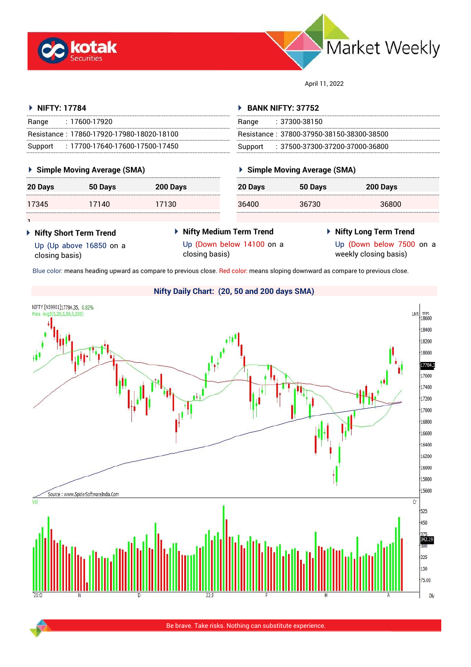



April 11, 2022

Resistance : 37800-37950-38150-38300-38500 Support : 37500-37300-37200-37000-36800

**20 Days 50 Days 200 Days**

36400 36730 36800

**Simple Moving Average (SMA)**

 **BANK NIFTY: 37752** Range : 37300-38150

## **NIFTY: 17784**

**1** 

| Range   | $: 17600 - 17920$                         |
|---------|-------------------------------------------|
|         | Resistance: 17860-17920-17980-18020-18100 |
| Support | $: 17700$ -17640-17600-17500-17450        |

## **Simple Moving Average (SMA)**

| 20 Days | 50 Days | 200 Days |
|---------|---------|----------|
| 17345   | 17140   | 17130    |
|         |         |          |

 **Nifty Short Term Trend** Up (Up above 16850 on a

closing basis)

 **Nifty Medium Term Trend** Up (Down below 14100 on a closing basis)

# **Nifty Long Term Trend**

Up (Down below 7500 on a weekly closing basis)

Blue color: means heading upward as compare to previous close. Red color: means sloping downward as compare to previous close.



**Nifty Daily Chart: (20, 50 and 200 days SMA)**

# Be brave. Take risks. Nothing can substitute experience.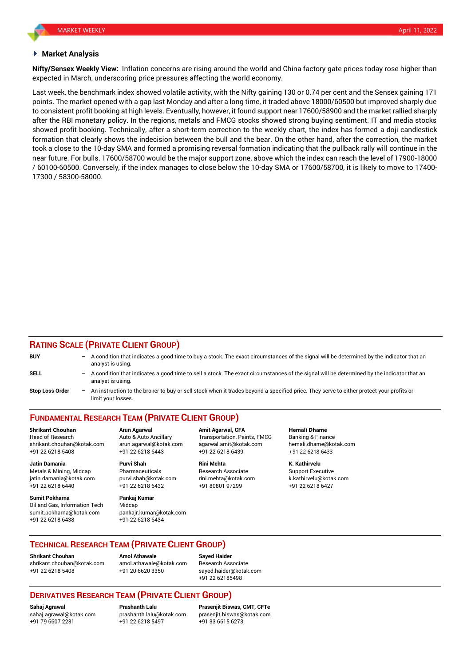#### **Market Analysis**

**Nifty/Sensex Weekly View:** Inflation concerns are rising around the world and China factory gate prices today rose higher than expected in March, underscoring price pressures affecting the world economy.

Last week, the benchmark index showed volatile activity, with the Nifty gaining 130 or 0.74 per cent and the Sensex gaining 171 points. The market opened with a gap last Monday and after a long time, it traded above 18000/60500 but improved sharply due to consistent profit booking at high levels. Eventually, however, it found support near 17600/58900 and the market rallied sharply after the RBI monetary policy. In the regions, metals and FMCG stocks showed strong buying sentiment. IT and media stocks showed profit booking. Technically, after a short-term correction to the weekly chart, the index has formed a doji candlestick formation that clearly shows the indecision between the bull and the bear. On the other hand, after the correction, the market took a close to the 10-day SMA and formed a promising reversal formation indicating that the pullback rally will continue in the near future. For bulls. 17600/58700 would be the major support zone, above which the index can reach the level of 17900-18000 / 60100-60500. Conversely, if the index manages to close below the 10-day SMA or 17600/58700, it is likely to move to 17400- 17300 / 58300-58000.

#### **RATING SCALE (PRIVATE CLIENT GROUP)**

| <b>BUY</b>             | - A condition that indicates a good time to buy a stock. The exact circumstances of the signal will be determined by the indicator that an<br>analyst is using.  |
|------------------------|------------------------------------------------------------------------------------------------------------------------------------------------------------------|
| SELL                   | - A condition that indicates a good time to sell a stock. The exact circumstances of the signal will be determined by the indicator that an<br>analyst is using. |
| <b>Stop Loss Order</b> | - An instruction to the broker to buy or sell stock when it trades beyond a specified price. They serve to either protect your profits or<br>limit vour losses   |

**FUNDAMENTAL RESEARCH TEAM (PRIVATE CLIENT GROUP)**

Head of Research Auto & Auto Ancillary Transportation, Paints, FMCG Banking & Finance shrikant.chouhan@kotak.com arun.agarwal@kotak.com [agarwal.amit@kotak.com](mailto:agarwal.amit@kotak.com) hemali.dhame@kotak.com +91 22 6218 5408 +91 22 6218 6443 +91 22 6218 6439 +91 22 6218 6433

Metals & Mining, Midcap **Pharmaceuticals** Research Associate Support Executive Research Associate jatin.damania@kotak.com [purvi.shah@kotak.com](mailto:purvi.shah@kotak.com) rini.mehta@kotak.com [k.kathirvelu@kotak.com](mailto:k.kathirvelu@kotak.com) +91 22 6218 6440 +91 22 6218 6432 +91 80801 97299 +91 22 6218 6427

**Sumit Pokharna** Pankaj Kumar Oil and Gas, Information Tech Midcap sumit.pokharna@kotak.com pankajr.kumar@kotak.com +91 22 6218 6438 +91 22 6218 6434

**Jatin Damania Purvi Shah Rini Mehta K. Kathirvelu**

**Shrikant Chouhan Arun Agarwal Amit Agarwal, CFA Hemali Dhame**

#### **TECHNICAL RESEARCH TEAM (PRIVATE CLIENT GROUP)**

**Shrikant Chouhan Amol Athawale Sayed Haider** [shrikant.chouhan@kotak.com](mailto:shrikant.chouhan@kotak.com) [amol.athawale@kotak.com](mailto:amol.athawale@kotak.com) Research Associate +91 22 6218 5408 +91 20 6620 3350 [sayed.haider@kotak.com](mailto:sayed.haider@kotak.com)

+91 22 62185498

### **DERIVATIVES RESEARCH TEAM (PRIVATE CLIENT GROUP)**

+91 79 6607 2231 +91 22 6218 5497 +91 33 6615 6273

**Sahaj Agrawal Prashanth Lalu Prasenjit Biswas, CMT, CFTe** [sahaj.agrawal@kotak.com](mailto:sahaj.agrawal@kotak.com) [prashanth.lalu@kotak.com](mailto:prashanth.lalu@kotak.com) [prasenjit.biswas@kotak.com](mailto:prasenjit.biswas@kotak.com)